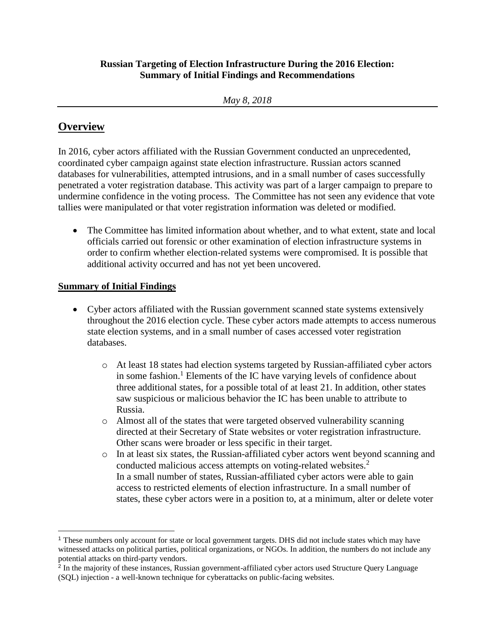#### **Russian Targeting of Election Infrastructure During the 2016 Election: Summary of Initial Findings and Recommendations**

# **Overview**

 $\overline{a}$ 

In 2016, cyber actors affiliated with the Russian Government conducted an unprecedented, coordinated cyber campaign against state election infrastructure. Russian actors scanned databases for vulnerabilities, attempted intrusions, and in a small number of cases successfully penetrated a voter registration database. This activity was part of a larger campaign to prepare to undermine confidence in the voting process. The Committee has not seen any evidence that vote tallies were manipulated or that voter registration information was deleted or modified.

• The Committee has limited information about whether, and to what extent, state and local officials carried out forensic or other examination of election infrastructure systems in order to confirm whether election-related systems were compromised. It is possible that additional activity occurred and has not yet been uncovered.

## **Summary of Initial Findings**

- Cyber actors affiliated with the Russian government scanned state systems extensively throughout the 2016 election cycle. These cyber actors made attempts to access numerous state election systems, and in a small number of cases accessed voter registration databases.
	- o At least 18 states had election systems targeted by Russian-affiliated cyber actors in some fashion.<sup>1</sup> Elements of the IC have varying levels of confidence about three additional states, for a possible total of at least 21. In addition, other states saw suspicious or malicious behavior the IC has been unable to attribute to Russia.
	- o Almost all of the states that were targeted observed vulnerability scanning directed at their Secretary of State websites or voter registration infrastructure. Other scans were broader or less specific in their target.
	- o In at least six states, the Russian-affiliated cyber actors went beyond scanning and conducted malicious access attempts on voting-related websites.<sup>2</sup> In a small number of states, Russian-affiliated cyber actors were able to gain access to restricted elements of election infrastructure. In a small number of states, these cyber actors were in a position to, at a minimum, alter or delete voter

<sup>1</sup> These numbers only account for state or local government targets. DHS did not include states which may have witnessed attacks on political parties, political organizations, or NGOs. In addition, the numbers do not include any potential attacks on third-party vendors.

<sup>&</sup>lt;sup>2</sup> In the majority of these instances, Russian government-affiliated cyber actors used Structure Query Language (SQL) injection - a well-known technique for cyberattacks on public-facing websites.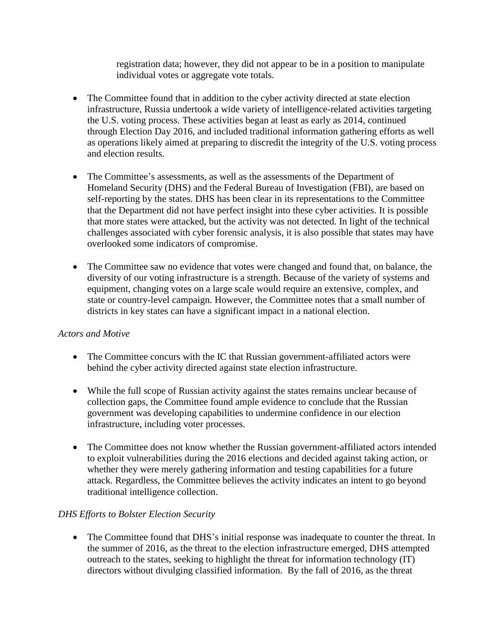registration data; however, they did not appear to be in a position to manipulate individual votes or aggregate vote totals.

- The Committee found that in addition to the cyber activity directed at state election infrastructure, Russia undertook a wide variety of intelligence-related activities targeting the U.S. voting process. These activities began at least as early as 2014, continued through Election Day 2016, and included traditional information gathering efforts as well as operations likely aimed at preparing to discredit the integrity of the U.S. voting process and election results.
- The Committee's assessments, as well as the assessments of the Department of Homeland Security (DHS) and the Federal Bureau of Investigation (FBI), are based on self-reporting by the states. DHS has been clear in its representations to the Committee that the Department did not have perfect insight into these cyber activities. It is possible that more states were attacked, but the activity was not detected. In light of the technical challenges associated with cyber forensic analysis, it is also possible that states may have overlooked some indicators of compromise.
- The Committee saw no evidence that votes were changed and found that, on balance, the diversity of our voting infrastructure is a strength. Because of the variety of systems and equipment, changing votes on a large scale would require an extensive, complex, and state or country-level campaign. However, the Committee notes that a small number of districts in key states can have a significant impact in a national election.

## *Actors and Motive*

- The Committee concurs with the IC that Russian government-affiliated actors were behind the cyber activity directed against state election infrastructure.
- While the full scope of Russian activity against the states remains unclear because of collection gaps, the Committee found ample evidence to conclude that the Russian government was developing capabilities to undermine confidence in our election infrastructure, including voter processes.
- The Committee does not know whether the Russian government-affiliated actors intended to exploit vulnerabilities during the 2016 elections and decided against taking action, or whether they were merely gathering information and testing capabilities for a future attack. Regardless, the Committee believes the activity indicates an intent to go beyond traditional intelligence collection.

#### *DHS Efforts to Bolster Election Security*

• The Committee found that DHS's initial response was inadequate to counter the threat. In the summer of 2016, as the threat to the election infrastructure emerged, DHS attempted outreach to the states, seeking to highlight the threat for information technology (IT) directors without divulging classified information. By the fall of 2016, as the threat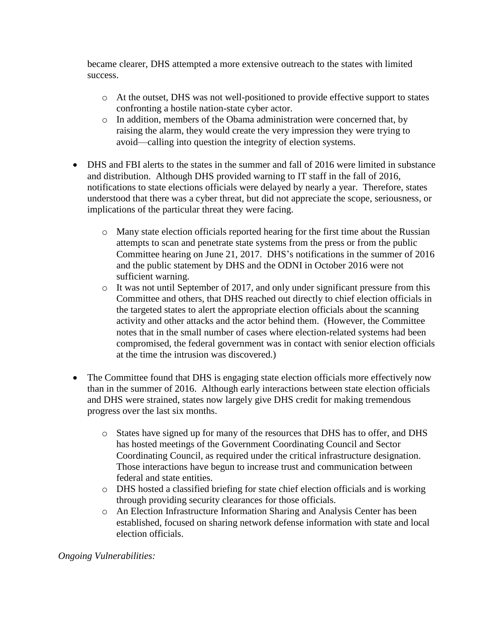became clearer, DHS attempted a more extensive outreach to the states with limited success.

- o At the outset, DHS was not well-positioned to provide effective support to states confronting a hostile nation-state cyber actor.
- o In addition, members of the Obama administration were concerned that, by raising the alarm, they would create the very impression they were trying to avoid––calling into question the integrity of election systems.
- DHS and FBI alerts to the states in the summer and fall of 2016 were limited in substance and distribution. Although DHS provided warning to IT staff in the fall of 2016, notifications to state elections officials were delayed by nearly a year. Therefore, states understood that there was a cyber threat, but did not appreciate the scope, seriousness, or implications of the particular threat they were facing.
	- o Many state election officials reported hearing for the first time about the Russian attempts to scan and penetrate state systems from the press or from the public Committee hearing on June 21, 2017. DHS's notifications in the summer of 2016 and the public statement by DHS and the ODNI in October 2016 were not sufficient warning.
	- o It was not until September of 2017, and only under significant pressure from this Committee and others, that DHS reached out directly to chief election officials in the targeted states to alert the appropriate election officials about the scanning activity and other attacks and the actor behind them. (However, the Committee notes that in the small number of cases where election-related systems had been compromised, the federal government was in contact with senior election officials at the time the intrusion was discovered.)
- The Committee found that DHS is engaging state election officials more effectively now than in the summer of 2016. Although early interactions between state election officials and DHS were strained, states now largely give DHS credit for making tremendous progress over the last six months.
	- o States have signed up for many of the resources that DHS has to offer, and DHS has hosted meetings of the Government Coordinating Council and Sector Coordinating Council, as required under the critical infrastructure designation. Those interactions have begun to increase trust and communication between federal and state entities.
	- o DHS hosted a classified briefing for state chief election officials and is working through providing security clearances for those officials.
	- o An Election Infrastructure Information Sharing and Analysis Center has been established, focused on sharing network defense information with state and local election officials.

*Ongoing Vulnerabilities:*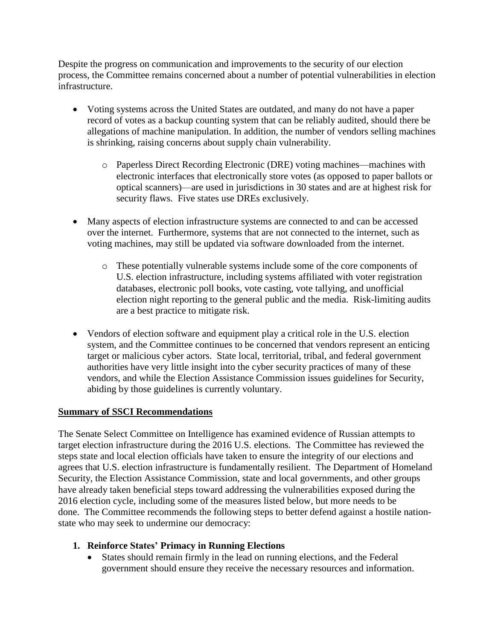Despite the progress on communication and improvements to the security of our election process, the Committee remains concerned about a number of potential vulnerabilities in election infrastructure.

- Voting systems across the United States are outdated, and many do not have a paper record of votes as a backup counting system that can be reliably audited, should there be allegations of machine manipulation. In addition, the number of vendors selling machines is shrinking, raising concerns about supply chain vulnerability.
	- o Paperless Direct Recording Electronic (DRE) voting machines––machines with electronic interfaces that electronically store votes (as opposed to paper ballots or optical scanners)––are used in jurisdictions in 30 states and are at highest risk for security flaws. Five states use DREs exclusively.
- Many aspects of election infrastructure systems are connected to and can be accessed over the internet. Furthermore, systems that are not connected to the internet, such as voting machines, may still be updated via software downloaded from the internet.
	- o These potentially vulnerable systems include some of the core components of U.S. election infrastructure, including systems affiliated with voter registration databases, electronic poll books, vote casting, vote tallying, and unofficial election night reporting to the general public and the media. Risk-limiting audits are a best practice to mitigate risk.
- Vendors of election software and equipment play a critical role in the U.S. election system, and the Committee continues to be concerned that vendors represent an enticing target or malicious cyber actors. State local, territorial, tribal, and federal government authorities have very little insight into the cyber security practices of many of these vendors, and while the Election Assistance Commission issues guidelines for Security, abiding by those guidelines is currently voluntary.

## **Summary of SSCI Recommendations**

The Senate Select Committee on Intelligence has examined evidence of Russian attempts to target election infrastructure during the 2016 U.S. elections. The Committee has reviewed the steps state and local election officials have taken to ensure the integrity of our elections and agrees that U.S. election infrastructure is fundamentally resilient. The Department of Homeland Security, the Election Assistance Commission, state and local governments, and other groups have already taken beneficial steps toward addressing the vulnerabilities exposed during the 2016 election cycle, including some of the measures listed below, but more needs to be done. The Committee recommends the following steps to better defend against a hostile nationstate who may seek to undermine our democracy:

## **1. Reinforce States' Primacy in Running Elections**

 States should remain firmly in the lead on running elections, and the Federal government should ensure they receive the necessary resources and information.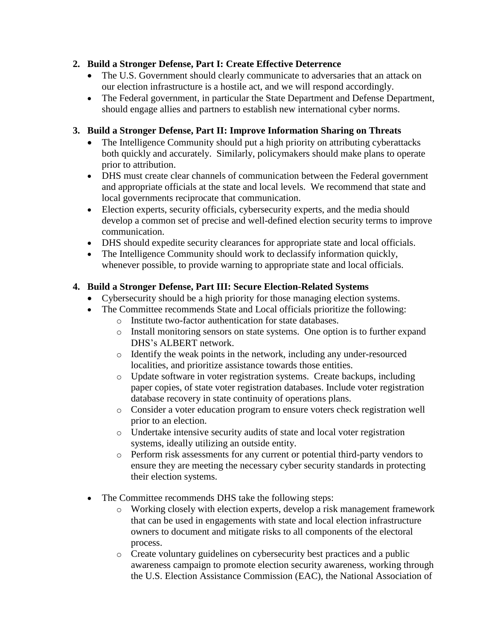# **2. Build a Stronger Defense, Part I: Create Effective Deterrence**

- The U.S. Government should clearly communicate to adversaries that an attack on our election infrastructure is a hostile act, and we will respond accordingly.
- The Federal government, in particular the State Department and Defense Department, should engage allies and partners to establish new international cyber norms.

# **3. Build a Stronger Defense, Part II: Improve Information Sharing on Threats**

- The Intelligence Community should put a high priority on attributing cyberattacks both quickly and accurately. Similarly, policymakers should make plans to operate prior to attribution.
- DHS must create clear channels of communication between the Federal government and appropriate officials at the state and local levels. We recommend that state and local governments reciprocate that communication.
- Election experts, security officials, cybersecurity experts, and the media should develop a common set of precise and well-defined election security terms to improve communication.
- DHS should expedite security clearances for appropriate state and local officials.
- The Intelligence Community should work to declassify information quickly, whenever possible, to provide warning to appropriate state and local officials.

## **4. Build a Stronger Defense, Part III: Secure Election-Related Systems**

- Cybersecurity should be a high priority for those managing election systems.
- The Committee recommends State and Local officials prioritize the following:
	- o Institute two-factor authentication for state databases.
	- o Install monitoring sensors on state systems. One option is to further expand DHS's ALBERT network.
	- o Identify the weak points in the network, including any under-resourced localities, and prioritize assistance towards those entities.
	- o Update software in voter registration systems. Create backups, including paper copies, of state voter registration databases. Include voter registration database recovery in state continuity of operations plans.
	- o Consider a voter education program to ensure voters check registration well prior to an election.
	- o Undertake intensive security audits of state and local voter registration systems, ideally utilizing an outside entity.
	- o Perform risk assessments for any current or potential third-party vendors to ensure they are meeting the necessary cyber security standards in protecting their election systems.
- The Committee recommends DHS take the following steps:
	- o Working closely with election experts, develop a risk management framework that can be used in engagements with state and local election infrastructure owners to document and mitigate risks to all components of the electoral process.
	- o Create voluntary guidelines on cybersecurity best practices and a public awareness campaign to promote election security awareness, working through the U.S. Election Assistance Commission (EAC), the National Association of